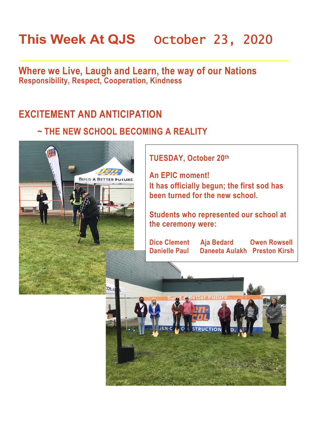# This Week At QJS October 23, 2020

**Where we Live, Laugh and Learn, the way of our Nations Responsibility, Respect, Cooperation, Kindness** 

#### **EXCITEMENT AND ANTICIPATION**

#### **~ THE NEW SCHOOL BECOMING A REALITY**



**TUESDAY, October 20th** 

**An EPIC moment! It has officially begun; the first sod has been turned for the new school.** 

**Students who represented our school at the ceremony were:** 

**Dice Clement Aja Bedard Owen Rowsell Danielle Paul Daneeta Aulakh Preston Kirsh** 

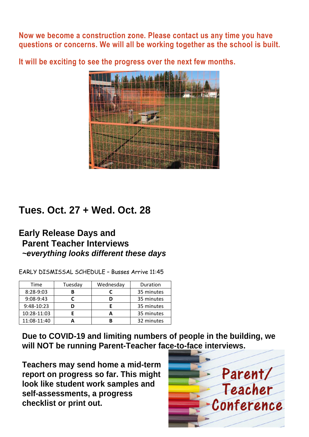**Now we become a construction zone. Please contact us any time you have questions or concerns. We will all be working together as the school is built.** 

**It will be exciting to see the progress over the next few months.** 



### **Tues. Oct. 27 + Wed. Oct. 28**

#### **Early Release Days and Parent Teacher Interviews**  *~everything looks different these days*

EARLY DISMISSAL SCHEDULE – Busses Arrive 11:45

| Time        | Tuesday | Wednesday | Duration   |
|-------------|---------|-----------|------------|
| 8:28-9:03   |         |           | 35 minutes |
| $9:08-9:43$ |         |           | 35 minutes |
| 9:48-10:23  |         |           | 35 minutes |
| 10:28-11:03 |         |           | 35 minutes |
| 11:08-11:40 |         |           | 32 minutes |

**Due to COVID-19 and limiting numbers of people in the building, we will NOT be running Parent-Teacher face-to-face interviews.** 

**Teachers may send home a mid-term report on progress so far. This might look like student work samples and self-assessments, a progress checklist or print out.** 

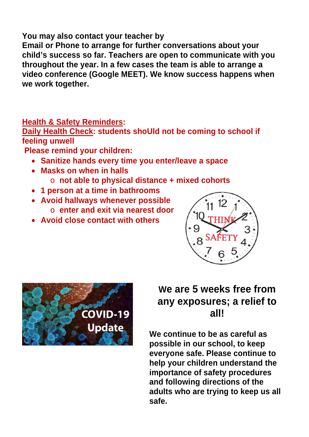#### **You may also contact your teacher by**

**Email or Phone to arrange for further conversations about your child's success so far. Teachers are open to communicate with you throughout the year. In a few cases the team is able to arrange a video conference (Google MEET). We know success happens when we work together.** 

#### **Health & Safety Reminders:**

**Daily Health Check: students shoUld not be coming to school if feeling unwell** 

 **Please remind your children:** 

- **Sanitize hands every time you enter/leave a space**
- **Masks on when in halls** 
	- o **not able to physical distance + mixed cohorts**
- **1 person at a time in bathrooms**
- **Avoid hallways whenever possible**  o **enter and exit via nearest door**
- **Avoid close contact with others**





### **We are 5 weeks free from any exposures; a relief to all!**

**We continue to be as careful as possible in our school, to keep everyone safe. Please continue to help your children understand the importance of safety procedures and following directions of the adults who are trying to keep us all safe.**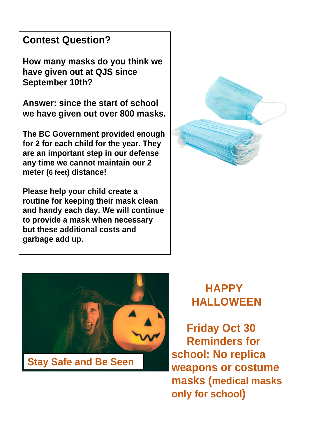### **Contest Question?**

**How many masks do you think we have given out at QJS since September 10th?** 

**Answer: since the start of school we have given out over 800 masks.** 

**The BC Government provided enough for 2 for each child for the year. They are an important step in our defense any time we cannot maintain our 2 meter (6 feet) distance!** 

**Please help your child create a routine for keeping their mask clean and handy each day. We will continue to provide a mask when necessary but these additional costs and garbage add up.** 





 **HAPPY HALLOWEEN** 

**Friday Oct 30 Reminders for school: No replica weapons or costume masks (medical masks only for school)**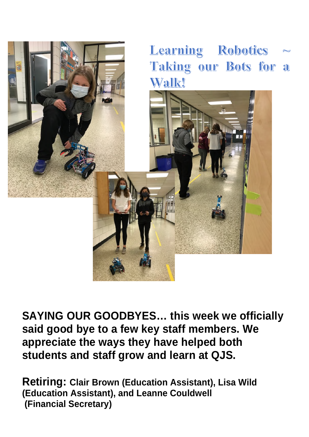

**SAYING OUR GOODBYES… this week we officially said good bye to a few key staff members. We appreciate the ways they have helped both students and staff grow and learn at QJS.** 

**Retiring: Clair Brown (Education Assistant), Lisa Wild (Education Assistant), and Leanne Couldwell (Financial Secretary)**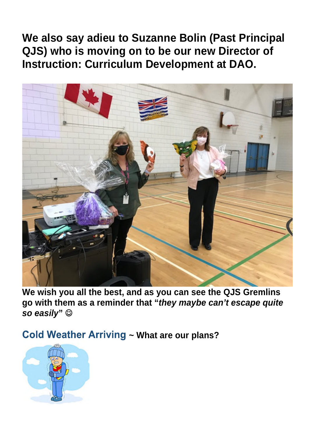## **We also say adieu to Suzanne Bolin (Past Principal QJS) who is moving on to be our new Director of Instruction: Curriculum Development at DAO.**



**We wish you all the best, and as you can see the QJS Gremlins go with them as a reminder that "***they maybe can't escape quite so easily***"** 

**Cold Weather Arriving ~ What are our plans?** 

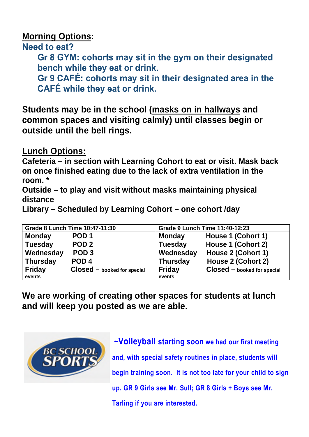#### **Morning Options:**

Need to eat?

Gr 8 GYM: cohorts may sit in the gym on their designated bench while they eat or drink.

Gr 9 CAFÉ: cohorts may sit in their designated area in the **CAFÉ while they eat or drink.** 

**Students may be in the school (masks on in hallways and common spaces and visiting calmly) until classes begin or outside until the bell rings.** 

**Lunch Options:** 

**Cafeteria – in section with Learning Cohort to eat or visit. Mask back on once finished eating due to the lack of extra ventilation in the room. \*** 

**Outside – to play and visit without masks maintaining physical distance** 

**Library – Scheduled by Learning Cohort – one cohort /day** 

| Grade 8 Lunch Time 10:47-11:30 |                             | <b>Grade 9 Lunch Time 11:40-12:23</b> |                             |
|--------------------------------|-----------------------------|---------------------------------------|-----------------------------|
| <b>Monday</b>                  | POD <sub>1</sub>            | <b>Monday</b>                         | House 1 (Cohort 1)          |
| <b>Tuesday</b>                 | POD <sub>2</sub>            | <b>Tuesday</b>                        | House 1 (Cohort 2)          |
| Wednesday                      | POD <sub>3</sub>            | Wednesday                             | House 2 (Cohort 1)          |
| <b>Thursday</b>                | POD <sub>4</sub>            | <b>Thursday</b>                       | House 2 (Cohort 2)          |
| <b>Friday</b>                  | Closed - booked for special | <b>Friday</b>                         | Closed - booked for special |
| events                         |                             | events                                |                             |

**We are working of creating other spaces for students at lunch and will keep you posted as we are able.** 



 **~Volleyball starting soon we had our first meeting and, with special safety routines in place, students will begin training soon. It is not too late for your child to sign up. GR 9 Girls see Mr. Sull; GR 8 Girls + Boys see Mr. Tarling if you are interested.**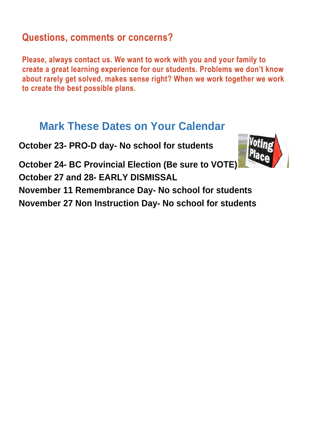### **Questions, comments or concerns?**

**Please, always contact us. We want to work with you and your family to create a great learning experience for our students. Problems we don't know about rarely get solved, makes sense right? When we work together we work to create the best possible plans.**

# **Mark These Dates on Your Calendar**

**October 23- PRO-D day- No school for students** 



**October 24- BC Provincial Election (Be sure to VOTE) October 27 and 28- EARLY DISMISSAL** 

**November 11 Remembrance Day- No school for students November 27 Non Instruction Day- No school for students**